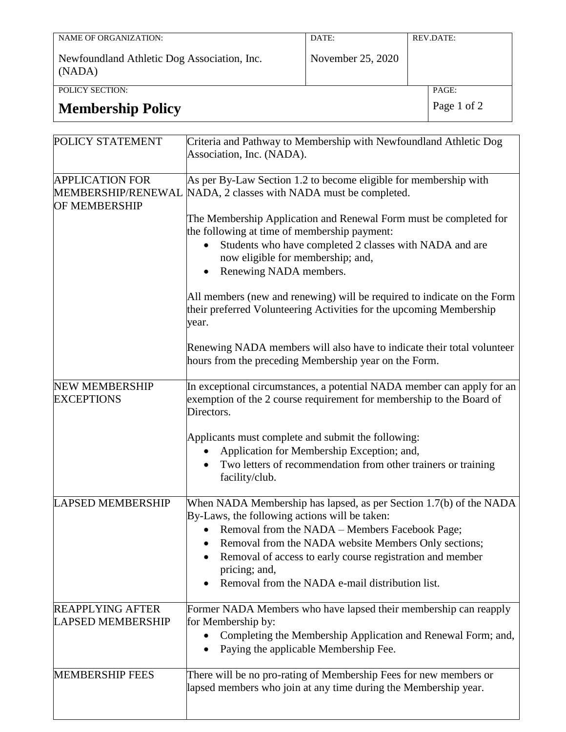| NAME OF ORGANIZATION:                                 | DATE:             | REV.DATE: |
|-------------------------------------------------------|-------------------|-----------|
| Newfoundland Athletic Dog Association, Inc.<br>(NADA) | November 25, 2020 |           |
| POLICY SECTION:                                       |                   | PAGE:     |
|                                                       |                   | $\sim$    |

# **Membership Policy** Page 1 of 2

| POLICY STATEMENT                                    | Criteria and Pathway to Membership with Newfoundland Athletic Dog<br>Association, Inc. (NADA).                                                               |  |  |  |  |
|-----------------------------------------------------|--------------------------------------------------------------------------------------------------------------------------------------------------------------|--|--|--|--|
| <b>APPLICATION FOR</b><br><b>OF MEMBERSHIP</b>      | As per By-Law Section 1.2 to become eligible for membership with<br>MEMBERSHIP/RENEWAL NADA, 2 classes with NADA must be completed.                          |  |  |  |  |
|                                                     | The Membership Application and Renewal Form must be completed for<br>the following at time of membership payment:                                            |  |  |  |  |
|                                                     | Students who have completed 2 classes with NADA and are<br>now eligible for membership; and,<br>Renewing NADA members.                                       |  |  |  |  |
|                                                     | All members (new and renewing) will be required to indicate on the Form<br>their preferred Volunteering Activities for the upcoming Membership<br>year.      |  |  |  |  |
|                                                     | Renewing NADA members will also have to indicate their total volunteer<br>hours from the preceding Membership year on the Form.                              |  |  |  |  |
| <b>NEW MEMBERSHIP</b><br><b>EXCEPTIONS</b>          | In exceptional circumstances, a potential NADA member can apply for an<br>exemption of the 2 course requirement for membership to the Board of<br>Directors. |  |  |  |  |
|                                                     | Applicants must complete and submit the following:                                                                                                           |  |  |  |  |
|                                                     | Application for Membership Exception; and,                                                                                                                   |  |  |  |  |
|                                                     | Two letters of recommendation from other trainers or training<br>facility/club.                                                                              |  |  |  |  |
| <b>LAPSED MEMBERSHIP</b>                            | When NADA Membership has lapsed, as per Section 1.7(b) of the NADA<br>By-Laws, the following actions will be taken:                                          |  |  |  |  |
|                                                     | Removal from the NADA - Members Facebook Page;                                                                                                               |  |  |  |  |
|                                                     | Removal from the NADA website Members Only sections;<br>$\bullet$<br>Removal of access to early course registration and member<br>pricing; and,              |  |  |  |  |
|                                                     | Removal from the NADA e-mail distribution list.                                                                                                              |  |  |  |  |
| <b>REAPPLYING AFTER</b><br><b>LAPSED MEMBERSHIP</b> | Former NADA Members who have lapsed their membership can reapply<br>for Membership by:                                                                       |  |  |  |  |
|                                                     | Completing the Membership Application and Renewal Form; and,<br>Paying the applicable Membership Fee.                                                        |  |  |  |  |
| <b>MEMBERSHIP FEES</b>                              | There will be no pro-rating of Membership Fees for new members or<br>lapsed members who join at any time during the Membership year.                         |  |  |  |  |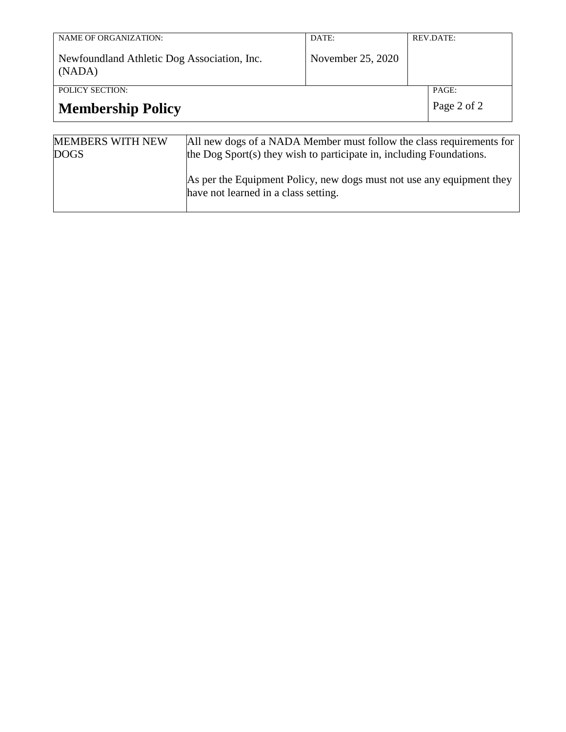| <b>NAME OF ORGANIZATION:</b><br>Newfoundland Athletic Dog Association, Inc.                                                                                                            |  | DATE:<br>November 25, 2020 | <b>REV.DATE:</b>     |  |  |
|----------------------------------------------------------------------------------------------------------------------------------------------------------------------------------------|--|----------------------------|----------------------|--|--|
| (NADA)<br><b>POLICY SECTION:</b><br><b>Membership Policy</b>                                                                                                                           |  |                            | PAGE:<br>Page 2 of 2 |  |  |
| <b>MEMBERS WITH NEW</b><br>All new dogs of a NADA Member must follow the class requirements for<br>the Dog Sport(s) they wish to participate in, including Foundations.<br><b>DOGS</b> |  |                            |                      |  |  |

|  | As per the Equipment Policy, new dogs must not use any equipment they |
|--|-----------------------------------------------------------------------|
|  | have not learned in a class setting.                                  |
|  |                                                                       |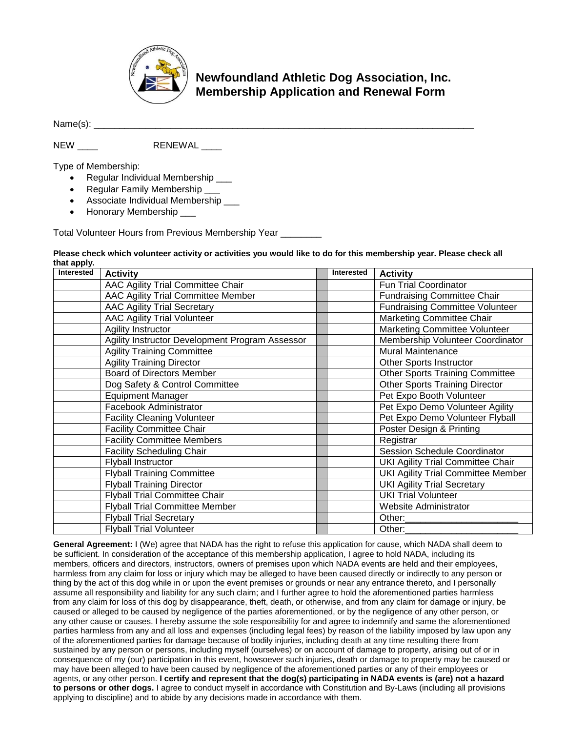

## **Newfoundland Athletic Dog Association, Inc. Membership Application and Renewal Form**

Name(s): \_\_\_\_\_\_\_\_\_\_\_\_\_\_\_\_\_\_\_\_\_\_\_\_\_\_\_\_\_\_\_\_\_\_\_\_\_\_\_\_\_\_\_\_\_\_\_\_\_\_\_\_\_\_\_\_\_\_\_\_\_\_\_\_\_\_\_\_\_\_\_\_\_\_

NEW \_\_\_ RENEWAL \_\_\_\_

Type of Membership:

- Regular Individual Membership
- Regular Family Membership \_\_\_
- Associate Individual Membership
- Honorary Membership \_\_\_

Total Volunteer Hours from Previous Membership Year \_\_\_\_\_\_\_\_

#### **Please check which volunteer activity or activities you would like to do for this membership year. Please check all that apply.**

| Interested | <b>Activity</b>                                 | <b>Interested</b> | <b>Activity</b>                           |
|------------|-------------------------------------------------|-------------------|-------------------------------------------|
|            | AAC Agility Trial Committee Chair               |                   | Fun Trial Coordinator                     |
|            | AAC Agility Trial Committee Member              |                   | <b>Fundraising Committee Chair</b>        |
|            | <b>AAC Agility Trial Secretary</b>              |                   | <b>Fundraising Committee Volunteer</b>    |
|            | <b>AAC Agility Trial Volunteer</b>              |                   | <b>Marketing Committee Chair</b>          |
|            | Agility Instructor                              |                   | Marketing Committee Volunteer             |
|            | Agility Instructor Development Program Assessor |                   | Membership Volunteer Coordinator          |
|            | <b>Agility Training Committee</b>               |                   | <b>Mural Maintenance</b>                  |
|            | <b>Agility Training Director</b>                |                   | <b>Other Sports Instructor</b>            |
|            | <b>Board of Directors Member</b>                |                   | <b>Other Sports Training Committee</b>    |
|            | Dog Safety & Control Committee                  |                   | Other Sports Training Director            |
|            | <b>Equipment Manager</b>                        |                   | Pet Expo Booth Volunteer                  |
|            | Facebook Administrator                          |                   | Pet Expo Demo Volunteer Agility           |
|            | <b>Facility Cleaning Volunteer</b>              |                   | Pet Expo Demo Volunteer Flyball           |
|            | <b>Facility Committee Chair</b>                 |                   | Poster Design & Printing                  |
|            | <b>Facility Committee Members</b>               |                   | Registrar                                 |
|            | <b>Facility Scheduling Chair</b>                |                   | <b>Session Schedule Coordinator</b>       |
|            | <b>Flyball Instructor</b>                       |                   | UKI Agility Trial Committee Chair         |
|            | <b>Flyball Training Committee</b>               |                   | <b>UKI Agility Trial Committee Member</b> |
|            | <b>Flyball Training Director</b>                |                   | <b>UKI</b> Agility Trial Secretary        |
|            | <b>Flyball Trial Committee Chair</b>            |                   | <b>UKI Trial Volunteer</b>                |
|            | <b>Flyball Trial Committee Member</b>           |                   | Website Administrator                     |
|            | <b>Flyball Trial Secretary</b>                  |                   | Other:                                    |
|            | <b>Flyball Trial Volunteer</b>                  |                   | Other:                                    |

**General Agreement:** I (We) agree that NADA has the right to refuse this application for cause, which NADA shall deem to be sufficient. In consideration of the acceptance of this membership application, I agree to hold NADA, including its members, officers and directors, instructors, owners of premises upon which NADA events are held and their employees, harmless from any claim for loss or injury which may be alleged to have been caused directly or indirectly to any person or thing by the act of this dog while in or upon the event premises or grounds or near any entrance thereto, and I personally assume all responsibility and liability for any such claim; and I further agree to hold the aforementioned parties harmless from any claim for loss of this dog by disappearance, theft, death, or otherwise, and from any claim for damage or injury, be caused or alleged to be caused by negligence of the parties aforementioned, or by the negligence of any other person, or any other cause or causes. I hereby assume the sole responsibility for and agree to indemnify and same the aforementioned parties harmless from any and all loss and expenses (including legal fees) by reason of the liability imposed by law upon any of the aforementioned parties for damage because of bodily injuries, including death at any time resulting there from sustained by any person or persons, including myself (ourselves) or on account of damage to property, arising out of or in consequence of my (our) participation in this event, howsoever such injuries, death or damage to property may be caused or may have been alleged to have been caused by negligence of the aforementioned parties or any of their employees or agents, or any other person. **I certify and represent that the dog(s) participating in NADA events is (are) not a hazard to persons or other dogs.** I agree to conduct myself in accordance with Constitution and By-Laws (including all provisions applying to discipline) and to abide by any decisions made in accordance with them.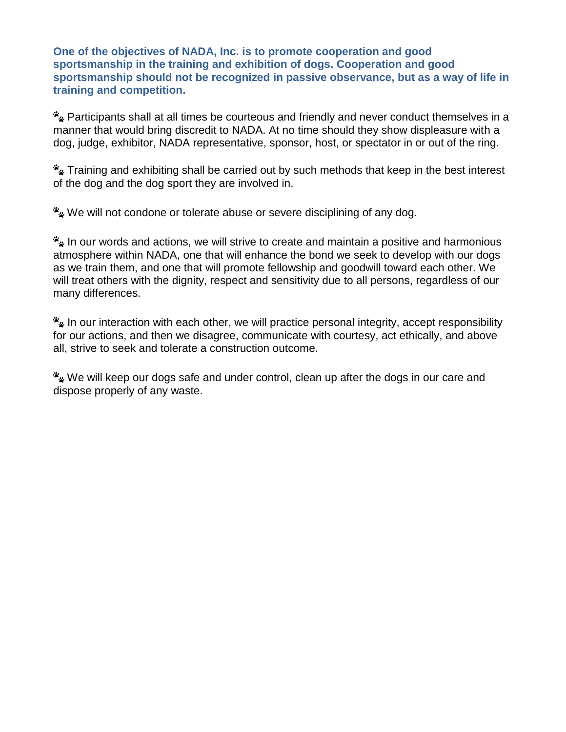**One of the objectives of NADA, Inc. is to promote cooperation and good sportsmanship in the training and exhibition of dogs. Cooperation and good sportsmanship should not be recognized in passive observance, but as a way of life in training and competition.**

Participants shall at all times be courteous and friendly and never conduct themselves in a manner that would bring discredit to NADA. At no time should they show displeasure with a dog, judge, exhibitor, NADA representative, sponsor, host, or spectator in or out of the ring.

Fraining and exhibiting shall be carried out by such methods that keep in the best interest of the dog and the dog sport they are involved in.

We will not condone or tolerate abuse or severe disciplining of any dog.

**Ex** In our words and actions, we will strive to create and maintain a positive and harmonious atmosphere within NADA, one that will enhance the bond we seek to develop with our dogs as we train them, and one that will promote fellowship and goodwill toward each other. We will treat others with the dignity, respect and sensitivity due to all persons, regardless of our many differences.

**E** In our interaction with each other, we will practice personal integrity, accept responsibility for our actions, and then we disagree, communicate with courtesy, act ethically, and above all, strive to seek and tolerate a construction outcome.

We will keep our dogs safe and under control, clean up after the dogs in our care and dispose properly of any waste.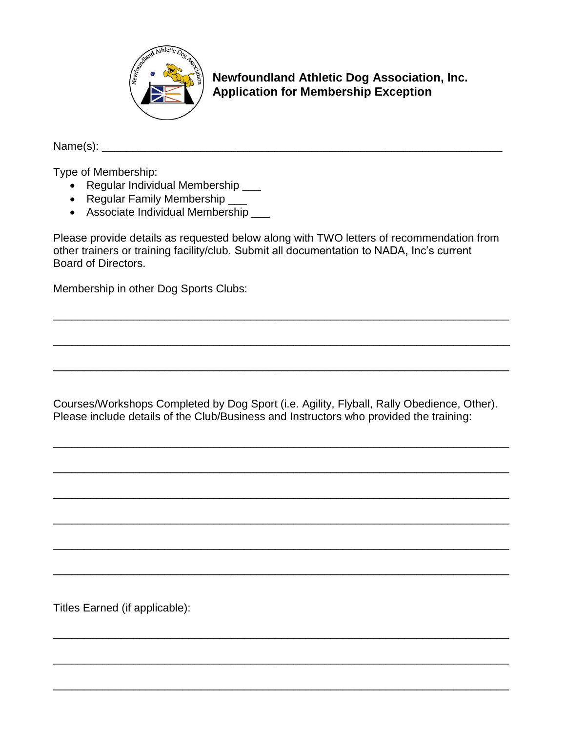

**Newfoundland Athletic Dog Association, Inc. Application for Membership Exception**

Name(s): \_\_\_\_\_\_\_\_\_\_\_\_\_\_\_\_\_\_\_\_\_\_\_\_\_\_\_\_\_\_\_\_\_\_\_\_\_\_\_\_\_\_\_\_\_\_\_\_\_\_\_\_\_\_\_\_\_\_\_\_\_\_\_\_\_

Type of Membership:

- Regular Individual Membership \_\_\_
- Regular Family Membership \_\_\_
- Associate Individual Membership \_\_\_

Please provide details as requested below along with TWO letters of recommendation from other trainers or training facility/club. Submit all documentation to NADA, Inc's current Board of Directors.

\_\_\_\_\_\_\_\_\_\_\_\_\_\_\_\_\_\_\_\_\_\_\_\_\_\_\_\_\_\_\_\_\_\_\_\_\_\_\_\_\_\_\_\_\_\_\_\_\_\_\_\_\_\_\_\_\_\_\_\_\_\_\_\_\_\_\_\_\_\_\_\_\_\_

\_\_\_\_\_\_\_\_\_\_\_\_\_\_\_\_\_\_\_\_\_\_\_\_\_\_\_\_\_\_\_\_\_\_\_\_\_\_\_\_\_\_\_\_\_\_\_\_\_\_\_\_\_\_\_\_\_\_\_\_\_\_\_\_\_\_\_\_\_\_\_\_\_\_

\_\_\_\_\_\_\_\_\_\_\_\_\_\_\_\_\_\_\_\_\_\_\_\_\_\_\_\_\_\_\_\_\_\_\_\_\_\_\_\_\_\_\_\_\_\_\_\_\_\_\_\_\_\_\_\_\_\_\_\_\_\_\_\_\_\_\_\_\_\_\_\_\_\_

Membership in other Dog Sports Clubs:

Courses/Workshops Completed by Dog Sport (i.e. Agility, Flyball, Rally Obedience, Other). Please include details of the Club/Business and Instructors who provided the training:

\_\_\_\_\_\_\_\_\_\_\_\_\_\_\_\_\_\_\_\_\_\_\_\_\_\_\_\_\_\_\_\_\_\_\_\_\_\_\_\_\_\_\_\_\_\_\_\_\_\_\_\_\_\_\_\_\_\_\_\_\_\_\_\_\_\_\_\_\_\_\_\_\_\_

\_\_\_\_\_\_\_\_\_\_\_\_\_\_\_\_\_\_\_\_\_\_\_\_\_\_\_\_\_\_\_\_\_\_\_\_\_\_\_\_\_\_\_\_\_\_\_\_\_\_\_\_\_\_\_\_\_\_\_\_\_\_\_\_\_\_\_\_\_\_\_\_\_\_

\_\_\_\_\_\_\_\_\_\_\_\_\_\_\_\_\_\_\_\_\_\_\_\_\_\_\_\_\_\_\_\_\_\_\_\_\_\_\_\_\_\_\_\_\_\_\_\_\_\_\_\_\_\_\_\_\_\_\_\_\_\_\_\_\_\_\_\_\_\_\_\_\_\_

\_\_\_\_\_\_\_\_\_\_\_\_\_\_\_\_\_\_\_\_\_\_\_\_\_\_\_\_\_\_\_\_\_\_\_\_\_\_\_\_\_\_\_\_\_\_\_\_\_\_\_\_\_\_\_\_\_\_\_\_\_\_\_\_\_\_\_\_\_\_\_\_\_\_

\_\_\_\_\_\_\_\_\_\_\_\_\_\_\_\_\_\_\_\_\_\_\_\_\_\_\_\_\_\_\_\_\_\_\_\_\_\_\_\_\_\_\_\_\_\_\_\_\_\_\_\_\_\_\_\_\_\_\_\_\_\_\_\_\_\_\_\_\_\_\_\_\_\_

\_\_\_\_\_\_\_\_\_\_\_\_\_\_\_\_\_\_\_\_\_\_\_\_\_\_\_\_\_\_\_\_\_\_\_\_\_\_\_\_\_\_\_\_\_\_\_\_\_\_\_\_\_\_\_\_\_\_\_\_\_\_\_\_\_\_\_\_\_\_\_\_\_\_

\_\_\_\_\_\_\_\_\_\_\_\_\_\_\_\_\_\_\_\_\_\_\_\_\_\_\_\_\_\_\_\_\_\_\_\_\_\_\_\_\_\_\_\_\_\_\_\_\_\_\_\_\_\_\_\_\_\_\_\_\_\_\_\_\_\_\_\_\_\_\_\_\_\_

\_\_\_\_\_\_\_\_\_\_\_\_\_\_\_\_\_\_\_\_\_\_\_\_\_\_\_\_\_\_\_\_\_\_\_\_\_\_\_\_\_\_\_\_\_\_\_\_\_\_\_\_\_\_\_\_\_\_\_\_\_\_\_\_\_\_\_\_\_\_\_\_\_\_

\_\_\_\_\_\_\_\_\_\_\_\_\_\_\_\_\_\_\_\_\_\_\_\_\_\_\_\_\_\_\_\_\_\_\_\_\_\_\_\_\_\_\_\_\_\_\_\_\_\_\_\_\_\_\_\_\_\_\_\_\_\_\_\_\_\_\_\_\_\_\_\_\_\_

Titles Earned (if applicable):